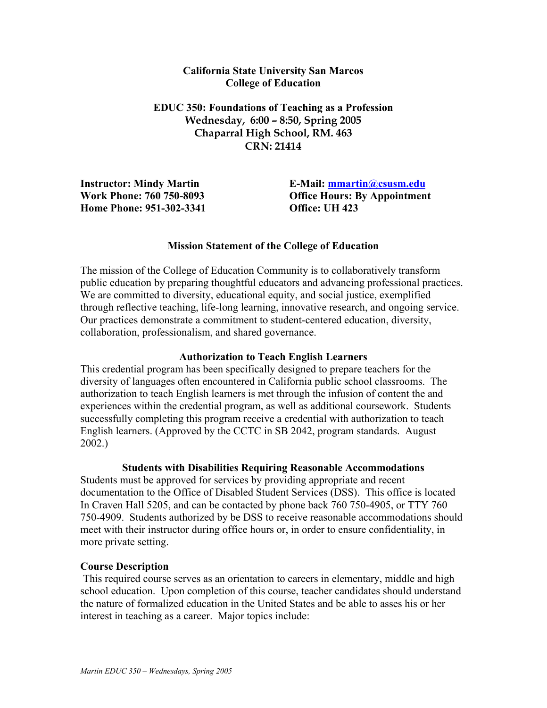### **California State University San Marcos College of Education**

**EDUC 350: Foundations of Teaching as a Profession Wednesday, 6:00 – 8:50, Spring 2005 Chaparral High School, RM. 463 CRN: 21414** 

**Instructor: Mindy Martin Work Phone: 760 750-8093 Home Phone: 951-302-3341** 

**E-Mail: mmartin@csusm.edu Office Hours: By Appointment Office: UH 423** 

### **Mission Statement of the College of Education**

The mission of the College of Education Community is to collaboratively transform public education by preparing thoughtful educators and advancing professional practices. We are committed to diversity, educational equity, and social justice, exemplified through reflective teaching, life-long learning, innovative research, and ongoing service. Our practices demonstrate a commitment to student-centered education, diversity, collaboration, professionalism, and shared governance.

### **Authorization to Teach English Learners**

This credential program has been specifically designed to prepare teachers for the diversity of languages often encountered in California public school classrooms. The authorization to teach English learners is met through the infusion of content the and experiences within the credential program, as well as additional coursework. Students successfully completing this program receive a credential with authorization to teach English learners. (Approved by the CCTC in SB 2042, program standards. August 2002.)

### **Students with Disabilities Requiring Reasonable Accommodations**

Students must be approved for services by providing appropriate and recent documentation to the Office of Disabled Student Services (DSS). This office is located In Craven Hall 5205, and can be contacted by phone back 760 750-4905, or TTY 760 750-4909. Students authorized by be DSS to receive reasonable accommodations should meet with their instructor during office hours or, in order to ensure confidentiality, in more private setting.

### **Course Description**

This required course serves as an orientation to careers in elementary, middle and high school education. Upon completion of this course, teacher candidates should understand the nature of formalized education in the United States and be able to asses his or her interest in teaching as a career. Major topics include: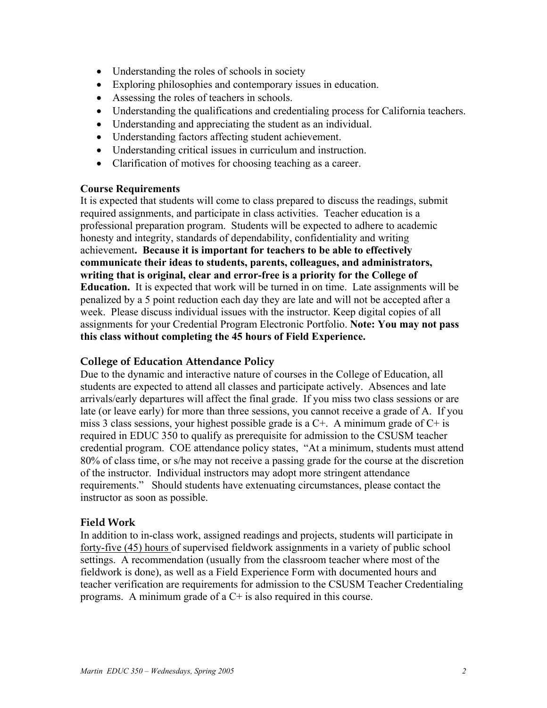- Understanding the roles of schools in society
- Exploring philosophies and contemporary issues in education.
- Assessing the roles of teachers in schools.
- Understanding the qualifications and credentialing process for California teachers.
- Understanding and appreciating the student as an individual.
- Understanding factors affecting student achievement.
- Understanding critical issues in curriculum and instruction.
- Clarification of motives for choosing teaching as a career.

### **Course Requirements**

It is expected that students will come to class prepared to discuss the readings, submit required assignments, and participate in class activities. Teacher education is a professional preparation program. Students will be expected to adhere to academic honesty and integrity, standards of dependability, confidentiality and writing achievement**. Because it is important for teachers to be able to effectively communicate their ideas to students, parents, colleagues, and administrators, writing that is original, clear and error-free is a priority for the College of Education.** It is expected that work will be turned in on time. Late assignments will be penalized by a 5 point reduction each day they are late and will not be accepted after a week. Please discuss individual issues with the instructor. Keep digital copies of all assignments for your Credential Program Electronic Portfolio. **Note: You may not pass this class without completing the 45 hours of Field Experience.** 

## **College of Education Attendance Policy**

Due to the dynamic and interactive nature of courses in the College of Education, all students are expected to attend all classes and participate actively. Absences and late arrivals/early departures will affect the final grade. If you miss two class sessions or are late (or leave early) for more than three sessions, you cannot receive a grade of A. If you miss 3 class sessions, your highest possible grade is a  $C<sup>+</sup>$ . A minimum grade of  $C<sup>+</sup>$  is required in EDUC 350 to qualify as prerequisite for admission to the CSUSM teacher credential program. COE attendance policy states, "At a minimum, students must attend 80% of class time, or s/he may not receive a passing grade for the course at the discretion of the instructor. Individual instructors may adopt more stringent attendance requirements." Should students have extenuating circumstances, please contact the instructor as soon as possible.

## **Field Work**

In addition to in-class work, assigned readings and projects, students will participate in forty-five (45) hours of supervised fieldwork assignments in a variety of public school settings. A recommendation (usually from the classroom teacher where most of the fieldwork is done), as well as a Field Experience Form with documented hours and teacher verification are requirements for admission to the CSUSM Teacher Credentialing programs. A minimum grade of a C+ is also required in this course.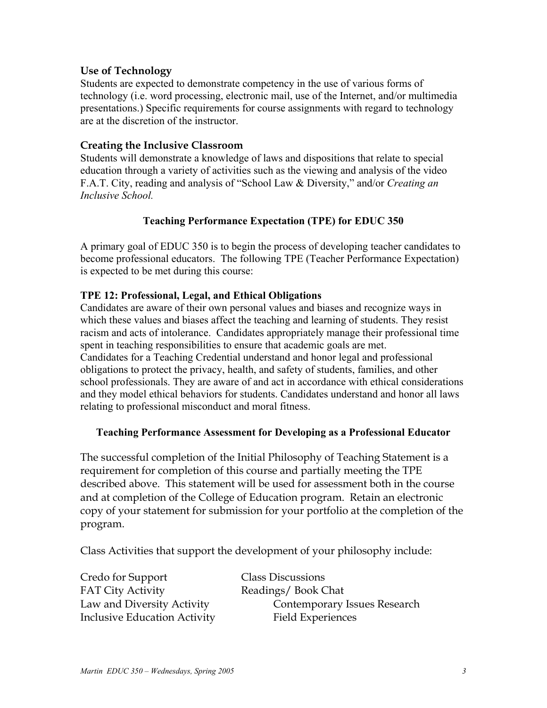## **Use of Technology**

Students are expected to demonstrate competency in the use of various forms of technology (i.e. word processing, electronic mail, use of the Internet, and/or multimedia presentations.) Specific requirements for course assignments with regard to technology are at the discretion of the instructor.

## **Creating the Inclusive Classroom**

Students will demonstrate a knowledge of laws and dispositions that relate to special education through a variety of activities such as the viewing and analysis of the video F.A.T. City, reading and analysis of "School Law & Diversity," and/or *Creating an Inclusive School.*

# **Teaching Performance Expectation (TPE) for EDUC 350**

A primary goal of EDUC 350 is to begin the process of developing teacher candidates to become professional educators. The following TPE (Teacher Performance Expectation) is expected to be met during this course:

## **TPE 12: Professional, Legal, and Ethical Obligations**

Candidates are aware of their own personal values and biases and recognize ways in which these values and biases affect the teaching and learning of students. They resist racism and acts of intolerance. Candidates appropriately manage their professional time spent in teaching responsibilities to ensure that academic goals are met. Candidates for a Teaching Credential understand and honor legal and professional obligations to protect the privacy, health, and safety of students, families, and other school professionals. They are aware of and act in accordance with ethical considerations and they model ethical behaviors for students. Candidates understand and honor all laws relating to professional misconduct and moral fitness.

## **Teaching Performance Assessment for Developing as a Professional Educator**

The successful completion of the Initial Philosophy of Teaching Statement is a requirement for completion of this course and partially meeting the TPE described above. This statement will be used for assessment both in the course and at completion of the College of Education program. Retain an electronic copy of your statement for submission for your portfolio at the completion of the program.

Class Activities that support the development of your philosophy include:

| <b>Class Discussions</b>     |
|------------------------------|
| Readings/Book Chat           |
| Contemporary Issues Research |
| <b>Field Experiences</b>     |
|                              |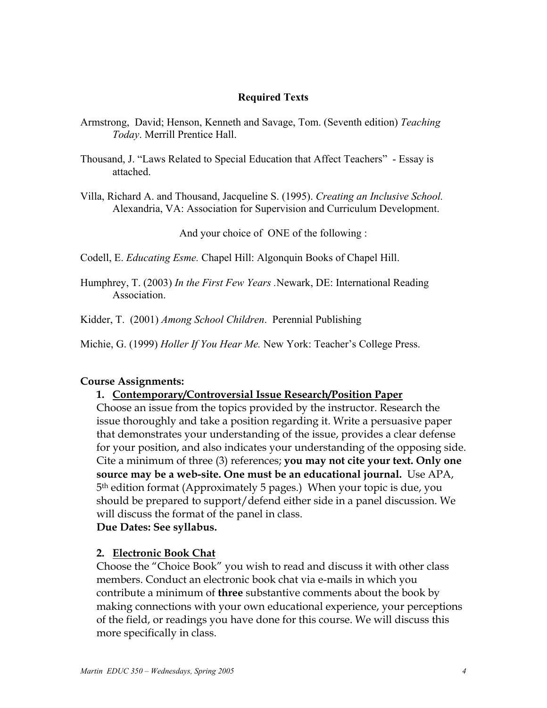### **Required Texts**

- Armstrong, David; Henson, Kenneth and Savage, Tom. (Seventh edition) *Teaching Today*. Merrill Prentice Hall.
- Thousand, J. "Laws Related to Special Education that Affect Teachers" Essay is attached.

Villa, Richard A. and Thousand, Jacqueline S. (1995). *Creating an Inclusive School.* Alexandria, VA: Association for Supervision and Curriculum Development.

And your choice of ONE of the following :

Codell, E. *Educating Esme.* Chapel Hill: Algonquin Books of Chapel Hill.

Humphrey, T. (2003) *In the First Few Years .*Newark, DE: International Reading Association.

Kidder, T. (2001) *Among School Children*. Perennial Publishing

Michie, G. (1999) *Holler If You Hear Me.* New York: Teacher's College Press.

## **Course Assignments:**

### **1. Contemporary/Controversial Issue Research/Position Paper**

Choose an issue from the topics provided by the instructor. Research the issue thoroughly and take a position regarding it. Write a persuasive paper that demonstrates your understanding of the issue, provides a clear defense for your position, and also indicates your understanding of the opposing side. Cite a minimum of three (3) references; **you may not cite your text. Only one source may be a web-site. One must be an educational journal.** Use APA, 5th edition format (Approximately 5 pages.) When your topic is due, you should be prepared to support/defend either side in a panel discussion. We will discuss the format of the panel in class. **Due Dates: See syllabus.** 

# **2. Electronic Book Chat**

Choose the "Choice Book" you wish to read and discuss it with other class members. Conduct an electronic book chat via e-mails in which you contribute a minimum of **three** substantive comments about the book by making connections with your own educational experience, your perceptions of the field, or readings you have done for this course. We will discuss this more specifically in class.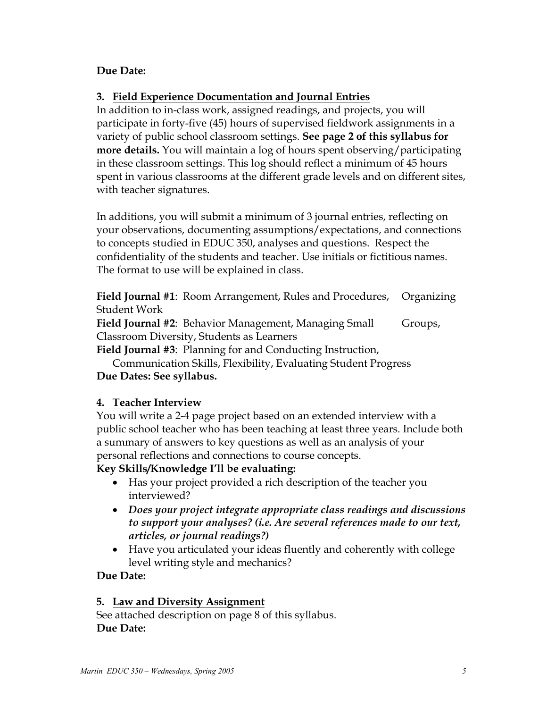# **Due Date:**

# **3. Field Experience Documentation and Journal Entries**

In addition to in-class work, assigned readings, and projects, you will participate in forty-five (45) hours of supervised fieldwork assignments in a variety of public school classroom settings. **See page 2 of this syllabus for more details.** You will maintain a log of hours spent observing/participating in these classroom settings. This log should reflect a minimum of 45 hours spent in various classrooms at the different grade levels and on different sites, with teacher signatures.

In additions, you will submit a minimum of 3 journal entries, reflecting on your observations, documenting assumptions/expectations, and connections to concepts studied in EDUC 350, analyses and questions.Respect the confidentiality of the students and teacher. Use initials or fictitious names. The format to use will be explained in class.

**Field Journal #1**: Room Arrangement, Rules and Procedures, Organizing Student Work

**Field Journal #2:** Behavior Management, Managing Small Groups, Classroom Diversity, Students as Learners

**Field Journal #3**: Planning for and Conducting Instruction,

 Communication Skills, Flexibility, Evaluating Student Progress **Due Dates: See syllabus.** 

# **4. Teacher Interview**

You will write a 2-4 page project based on an extended interview with a public school teacher who has been teaching at least three years. Include both a summary of answers to key questions as well as an analysis of your personal reflections and connections to course concepts.

# **Key Skills/Knowledge I'll be evaluating:**

- Has your project provided a rich description of the teacher you interviewed?
- *Does your project integrate appropriate class readings and discussions to support your analyses? (i.e. Are several references made to our text, articles, or journal readings?)*
- Have you articulated your ideas fluently and coherently with college level writing style and mechanics?

# **Due Date:**

# **5. Law and Diversity Assignment**

See attached description on page 8 of this syllabus. **Due Date:**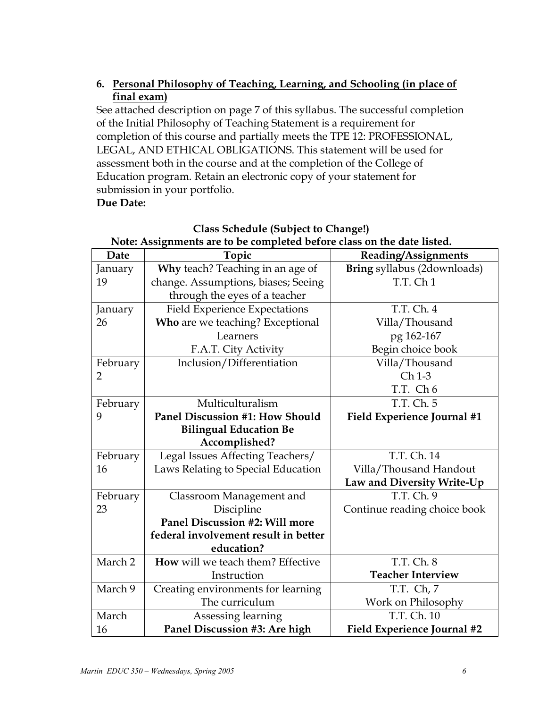# **6. Personal Philosophy of Teaching, Learning, and Schooling (in place of final exam)**

See attached description on page 7 of this syllabus. The successful completion of the Initial Philosophy of Teaching Statement is a requirement for completion of this course and partially meets the TPE 12: PROFESSIONAL, LEGAL, AND ETHICAL OBLIGATIONS. This statement will be used for assessment both in the course and at the completion of the College of Education program. Retain an electronic copy of your statement for submission in your portfolio. **Due Date:** 

#### **Class Schedule (Subject to Change!) Note: Assignments are to be completed before class on the date listed. Date Topic Reading/Assignments**  January 19 **Why** teach? Teaching in an age of change. Assumptions, biases; Seeing through the eyes of a teacher January Field Experience Expectations

| walt               | ι υμιι                               | ксайше дээгенисты            |
|--------------------|--------------------------------------|------------------------------|
| January            | Why teach? Teaching in an age of     | Bring syllabus (2downloads)  |
| 19                 | change. Assumptions, biases; Seeing  | T.T. Ch <sub>1</sub>         |
|                    | through the eyes of a teacher        |                              |
| January            | <b>Field Experience Expectations</b> | T.T. Ch. 4                   |
| 26                 | Who are we teaching? Exceptional     | Villa/Thousand               |
|                    | Learners                             | pg 162-167                   |
|                    | F.A.T. City Activity                 | Begin choice book            |
| February           | Inclusion/Differentiation            | Villa/Thousand               |
| $\overline{2}$     |                                      | Ch 1-3                       |
|                    |                                      | T.T. Ch <sub>6</sub>         |
| February           | Multiculturalism                     | T.T. Ch. 5                   |
| 9                  | Panel Discussion #1: How Should      | Field Experience Journal #1  |
|                    | <b>Bilingual Education Be</b>        |                              |
|                    | Accomplished?                        |                              |
| February           | Legal Issues Affecting Teachers/     | T.T. Ch. 14                  |
| 16                 | Laws Relating to Special Education   | Villa/Thousand Handout       |
|                    |                                      | Law and Diversity Write-Up   |
| February           | Classroom Management and             | T.T. Ch. 9                   |
| 23                 | Discipline                           | Continue reading choice book |
|                    | Panel Discussion #2: Will more       |                              |
|                    | federal involvement result in better |                              |
|                    | education?                           |                              |
| March <sub>2</sub> | How will we teach them? Effective    | T.T. Ch. 8                   |
|                    | Instruction                          | <b>Teacher Interview</b>     |
| March 9            | Creating environments for learning   | T.T. Ch, 7                   |
|                    | The curriculum                       | Work on Philosophy           |
| March              | Assessing learning                   | T.T. Ch. 10                  |
| 16                 | Panel Discussion #3: Are high        | Field Experience Journal #2  |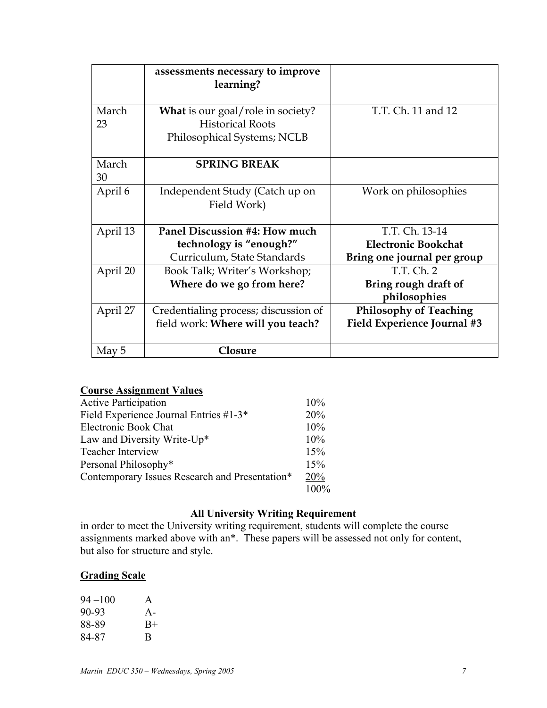|             | assessments necessary to improve<br>learning?                       |                                      |
|-------------|---------------------------------------------------------------------|--------------------------------------|
| March<br>23 | <b>What</b> is our goal/role in society?<br><b>Historical Roots</b> | T.T. Ch. 11 and 12                   |
|             | Philosophical Systems; NCLB                                         |                                      |
| March<br>30 | <b>SPRING BREAK</b>                                                 |                                      |
| April 6     | Independent Study (Catch up on<br>Field Work)                       | Work on philosophies                 |
| April 13    | Panel Discussion #4: How much                                       | T.T. Ch. 13-14                       |
|             | technology is "enough?"                                             | <b>Electronic Bookchat</b>           |
|             | Curriculum, State Standards                                         | Bring one journal per group          |
| April 20    | Book Talk; Writer's Workshop;                                       | T.T. Ch. 2                           |
|             | Where do we go from here?                                           | Bring rough draft of<br>philosophies |
| April 27    | Credentialing process; discussion of                                | <b>Philosophy of Teaching</b>        |
|             | field work: Where will you teach?                                   | Field Experience Journal #3          |
| May 5       | <b>Closure</b>                                                      |                                      |

# **Course Assignment Values**

| <b>Active Participation</b>                    | 10%  |
|------------------------------------------------|------|
| Field Experience Journal Entries #1-3*         | 20%  |
| <b>Electronic Book Chat</b>                    | 10%  |
| Law and Diversity Write-Up*                    | 10%  |
| <b>Teacher Interview</b>                       | 15%  |
| Personal Philosophy*                           | 15%  |
| Contemporary Issues Research and Presentation* | 20%  |
|                                                | 100% |

# **All University Writing Requirement**

in order to meet the University writing requirement, students will complete the course assignments marked above with an\*. These papers will be assessed not only for content, but also for structure and style.

## **Grading Scale**

| $94 - 100$ | A     |
|------------|-------|
| 90-93      | $A -$ |
| 88-89      | $B+$  |
| 84-87      | R     |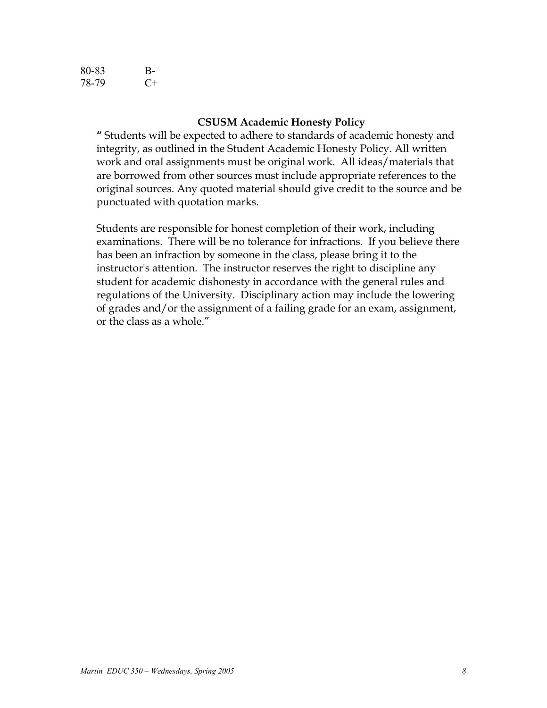| 80-83 | В-    |
|-------|-------|
| 78-79 | $($ + |

### **CSUSM Academic Honesty Policy**

**"** Students will be expected to adhere to standards of academic honesty and integrity, as outlined in the Student Academic Honesty Policy. All written work and oral assignments must be original work. All ideas/materials that are borrowed from other sources must include appropriate references to the original sources. Any quoted material should give credit to the source and be punctuated with quotation marks.

Students are responsible for honest completion of their work, including examinations. There will be no tolerance for infractions. If you believe there has been an infraction by someone in the class, please bring it to the instructor's attention. The instructor reserves the right to discipline any student for academic dishonesty in accordance with the general rules and regulations of the University. Disciplinary action may include the lowering of grades and/or the assignment of a failing grade for an exam, assignment, or the class as a whole."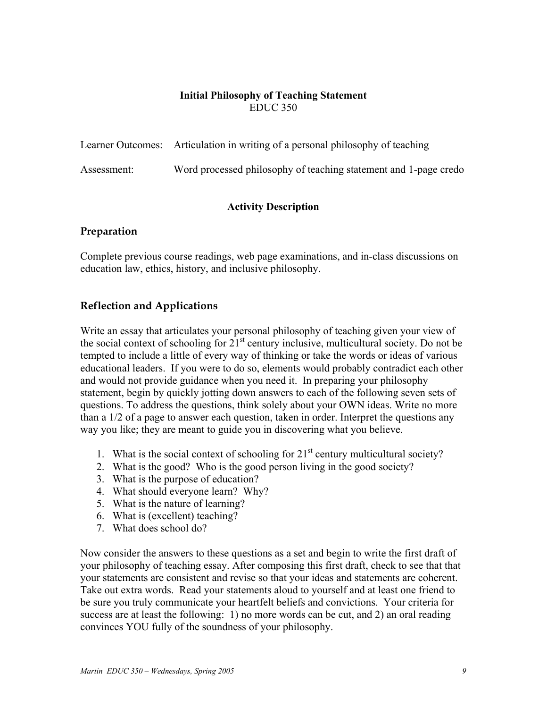## **Initial Philosophy of Teaching Statement**  EDUC 350

|             | Learner Outcomes: Articulation in writing of a personal philosophy of teaching |
|-------------|--------------------------------------------------------------------------------|
| Assessment: | Word processed philosophy of teaching statement and 1-page credo               |

# **Activity Description**

# **Preparation**

Complete previous course readings, web page examinations, and in-class discussions on education law, ethics, history, and inclusive philosophy.

# **Reflection and Applications**

Write an essay that articulates your personal philosophy of teaching given your view of the social context of schooling for  $21<sup>st</sup>$  century inclusive, multicultural society. Do not be tempted to include a little of every way of thinking or take the words or ideas of various educational leaders. If you were to do so, elements would probably contradict each other and would not provide guidance when you need it. In preparing your philosophy statement, begin by quickly jotting down answers to each of the following seven sets of questions. To address the questions, think solely about your OWN ideas. Write no more than a 1/2 of a page to answer each question, taken in order. Interpret the questions any way you like; they are meant to guide you in discovering what you believe.

- 1. What is the social context of schooling for  $21<sup>st</sup>$  century multicultural society?
- 2. What is the good? Who is the good person living in the good society?
- 3. What is the purpose of education?
- 4. What should everyone learn? Why?
- 5. What is the nature of learning?
- 6. What is (excellent) teaching?
- 7. What does school do?

Now consider the answers to these questions as a set and begin to write the first draft of your philosophy of teaching essay. After composing this first draft, check to see that that your statements are consistent and revise so that your ideas and statements are coherent. Take out extra words. Read your statements aloud to yourself and at least one friend to be sure you truly communicate your heartfelt beliefs and convictions. Your criteria for success are at least the following: 1) no more words can be cut, and 2) an oral reading convinces YOU fully of the soundness of your philosophy.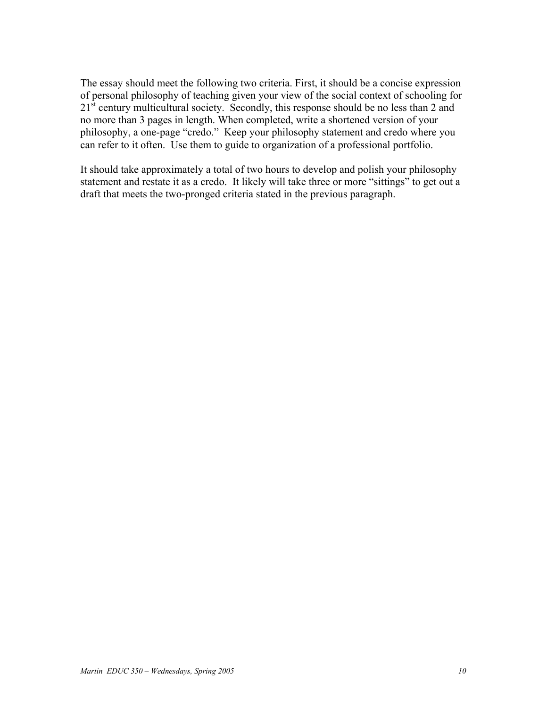The essay should meet the following two criteria. First, it should be a concise expression of personal philosophy of teaching given your view of the social context of schooling for 21<sup>st</sup> century multicultural society. Secondly, this response should be no less than 2 and no more than 3 pages in length. When completed, write a shortened version of your philosophy, a one-page "credo." Keep your philosophy statement and credo where you can refer to it often. Use them to guide to organization of a professional portfolio.

It should take approximately a total of two hours to develop and polish your philosophy statement and restate it as a credo. It likely will take three or more "sittings" to get out a draft that meets the two-pronged criteria stated in the previous paragraph.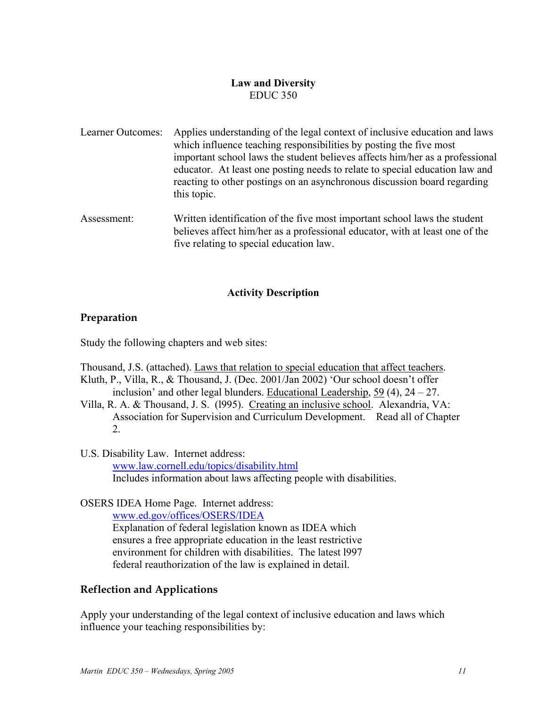# **Law and Diversity**  EDUC 350

- Learner Outcomes: Applies understanding of the legal context of inclusive education and laws which influence teaching responsibilities by posting the five most important school laws the student believes affects him/her as a professional educator. At least one posting needs to relate to special education law and reacting to other postings on an asynchronous discussion board regarding this topic.
- Assessment: Written identification of the five most important school laws the student believes affect him/her as a professional educator, with at least one of the five relating to special education law.

## **Activity Description**

# **Preparation**

Study the following chapters and web sites:

Thousand, J.S. (attached). Laws that relation to special education that affect teachers.

- Kluth, P., Villa, R., & Thousand, J. (Dec. 2001/Jan 2002) 'Our school doesn't offer inclusion' and other legal blunders. Educational Leadership,  $59(4)$ ,  $24-27$ .
- Villa, R. A. & Thousand, J. S. (l995). Creating an inclusive school. Alexandria, VA: Association for Supervision and Curriculum Development. Read all of Chapter 2.
- U.S. Disability Law. Internet address: www.law.cornell.edu/topics/disability.html Includes information about laws affecting people with disabilities.

OSERS IDEA Home Page. Internet address:

www.ed.gov/offices/OSERS/IDEA

Explanation of federal legislation known as IDEA which ensures a free appropriate education in the least restrictive environment for children with disabilities. The latest l997 federal reauthorization of the law is explained in detail.

# **Reflection and Applications**

Apply your understanding of the legal context of inclusive education and laws which influence your teaching responsibilities by: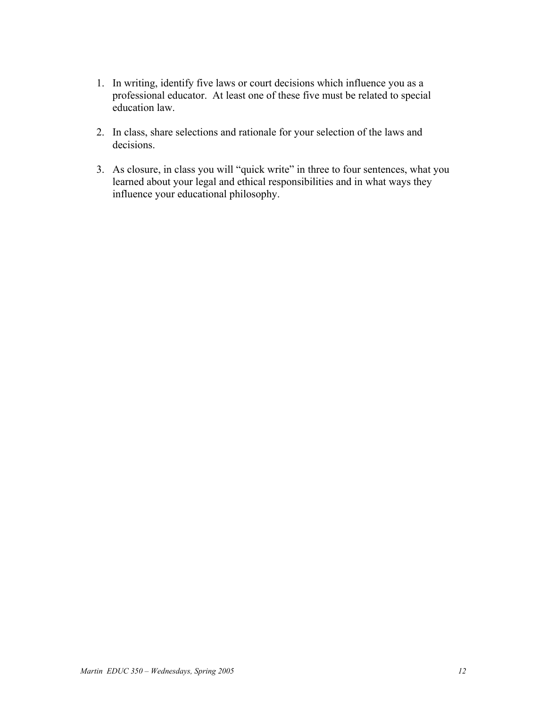- 1. In writing, identify five laws or court decisions which influence you as a professional educator. At least one of these five must be related to special education law.
- 2. In class, share selections and rationale for your selection of the laws and decisions.
- 3. As closure, in class you will "quick write" in three to four sentences, what you learned about your legal and ethical responsibilities and in what ways they influence your educational philosophy.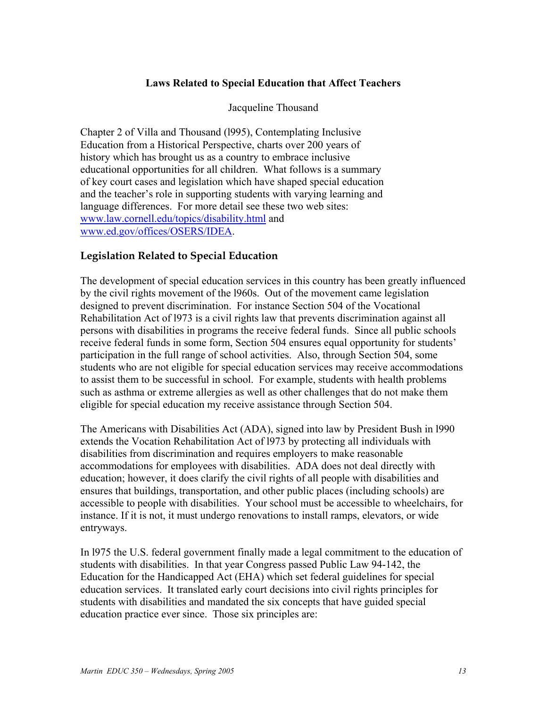## **Laws Related to Special Education that Affect Teachers**

Jacqueline Thousand

Chapter 2 of Villa and Thousand (l995), Contemplating Inclusive Education from a Historical Perspective, charts over 200 years of history which has brought us as a country to embrace inclusive educational opportunities for all children. What follows is a summary of key court cases and legislation which have shaped special education and the teacher's role in supporting students with varying learning and language differences. For more detail see these two web sites: www.law.cornell.edu/topics/disability.html and www.ed.gov/offices/OSERS/IDEA.

# **Legislation Related to Special Education**

The development of special education services in this country has been greatly influenced by the civil rights movement of the l960s. Out of the movement came legislation designed to prevent discrimination. For instance Section 504 of the Vocational Rehabilitation Act of l973 is a civil rights law that prevents discrimination against all persons with disabilities in programs the receive federal funds. Since all public schools receive federal funds in some form, Section 504 ensures equal opportunity for students' participation in the full range of school activities. Also, through Section 504, some students who are not eligible for special education services may receive accommodations to assist them to be successful in school. For example, students with health problems such as asthma or extreme allergies as well as other challenges that do not make them eligible for special education my receive assistance through Section 504.

The Americans with Disabilities Act (ADA), signed into law by President Bush in l990 extends the Vocation Rehabilitation Act of l973 by protecting all individuals with disabilities from discrimination and requires employers to make reasonable accommodations for employees with disabilities. ADA does not deal directly with education; however, it does clarify the civil rights of all people with disabilities and ensures that buildings, transportation, and other public places (including schools) are accessible to people with disabilities. Your school must be accessible to wheelchairs, for instance. If it is not, it must undergo renovations to install ramps, elevators, or wide entryways.

In l975 the U.S. federal government finally made a legal commitment to the education of students with disabilities. In that year Congress passed Public Law 94-142, the Education for the Handicapped Act (EHA) which set federal guidelines for special education services. It translated early court decisions into civil rights principles for students with disabilities and mandated the six concepts that have guided special education practice ever since. Those six principles are: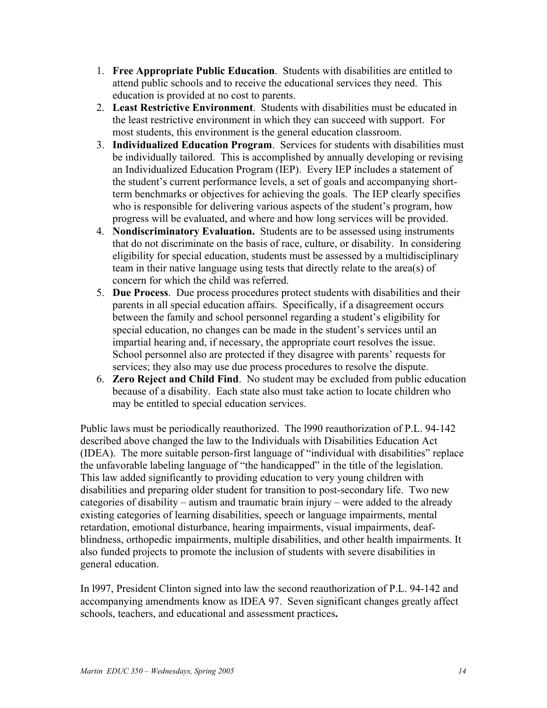- 1. **Free Appropriate Public Education**. Students with disabilities are entitled to attend public schools and to receive the educational services they need. This education is provided at no cost to parents.
- 2. **Least Restrictive Environment**. Students with disabilities must be educated in the least restrictive environment in which they can succeed with support. For most students, this environment is the general education classroom.
- 3. **Individualized Education Program**. Services for students with disabilities must be individually tailored. This is accomplished by annually developing or revising an Individualized Education Program (IEP). Every IEP includes a statement of the student's current performance levels, a set of goals and accompanying shortterm benchmarks or objectives for achieving the goals. The IEP clearly specifies who is responsible for delivering various aspects of the student's program, how progress will be evaluated, and where and how long services will be provided.
- 4. **Nondiscriminatory Evaluation.** Students are to be assessed using instruments that do not discriminate on the basis of race, culture, or disability. In considering eligibility for special education, students must be assessed by a multidisciplinary team in their native language using tests that directly relate to the area(s) of concern for which the child was referred.
- 5. **Due Process**. Due process procedures protect students with disabilities and their parents in all special education affairs. Specifically, if a disagreement occurs between the family and school personnel regarding a student's eligibility for special education, no changes can be made in the student's services until an impartial hearing and, if necessary, the appropriate court resolves the issue. School personnel also are protected if they disagree with parents' requests for services; they also may use due process procedures to resolve the dispute.
- 6. **Zero Reject and Child Find**. No student may be excluded from public education because of a disability. Each state also must take action to locate children who may be entitled to special education services.

Public laws must be periodically reauthorized. The l990 reauthorization of P.L. 94-142 described above changed the law to the Individuals with Disabilities Education Act (IDEA). The more suitable person-first language of "individual with disabilities" replace the unfavorable labeling language of "the handicapped" in the title of the legislation. This law added significantly to providing education to very young children with disabilities and preparing older student for transition to post-secondary life. Two new categories of disability – autism and traumatic brain injury – were added to the already existing categories of learning disabilities, speech or language impairments, mental retardation, emotional disturbance, hearing impairments, visual impairments, deafblindness, orthopedic impairments, multiple disabilities, and other health impairments. It also funded projects to promote the inclusion of students with severe disabilities in general education.

In l997, President Clinton signed into law the second reauthorization of P.L. 94-142 and accompanying amendments know as IDEA 97. Seven significant changes greatly affect schools, teachers, and educational and assessment practices**.**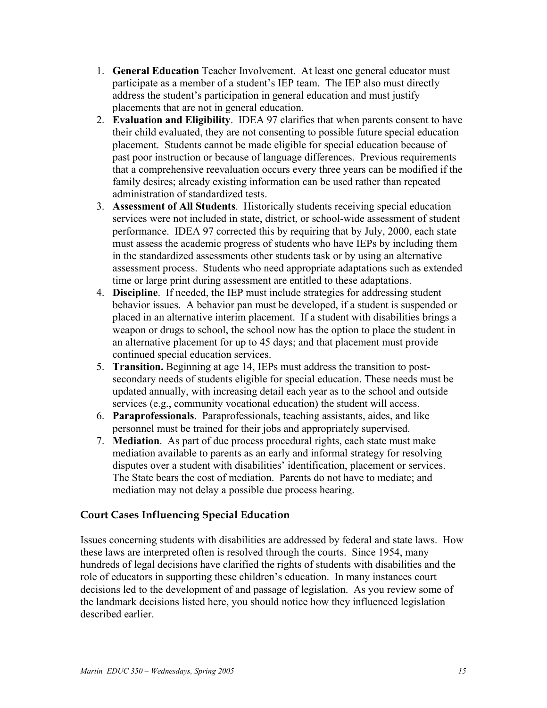- 1. **General Education** Teacher Involvement. At least one general educator must participate as a member of a student's IEP team. The IEP also must directly address the student's participation in general education and must justify placements that are not in general education.
- 2. **Evaluation and Eligibility**. IDEA 97 clarifies that when parents consent to have their child evaluated, they are not consenting to possible future special education placement. Students cannot be made eligible for special education because of past poor instruction or because of language differences. Previous requirements that a comprehensive reevaluation occurs every three years can be modified if the family desires; already existing information can be used rather than repeated administration of standardized tests.
- 3. **Assessment of All Students**. Historically students receiving special education services were not included in state, district, or school-wide assessment of student performance. IDEA 97 corrected this by requiring that by July, 2000, each state must assess the academic progress of students who have IEPs by including them in the standardized assessments other students task or by using an alternative assessment process. Students who need appropriate adaptations such as extended time or large print during assessment are entitled to these adaptations.
- 4. **Discipline**. If needed, the IEP must include strategies for addressing student behavior issues. A behavior pan must be developed, if a student is suspended or placed in an alternative interim placement. If a student with disabilities brings a weapon or drugs to school, the school now has the option to place the student in an alternative placement for up to 45 days; and that placement must provide continued special education services.
- 5. **Transition.** Beginning at age 14, IEPs must address the transition to postsecondary needs of students eligible for special education. These needs must be updated annually, with increasing detail each year as to the school and outside services (e.g., community vocational education) the student will access.
- 6. **Paraprofessionals**. Paraprofessionals, teaching assistants, aides, and like personnel must be trained for their jobs and appropriately supervised.
- 7. **Mediation**. As part of due process procedural rights, each state must make mediation available to parents as an early and informal strategy for resolving disputes over a student with disabilities' identification, placement or services. The State bears the cost of mediation. Parents do not have to mediate; and mediation may not delay a possible due process hearing.

# **Court Cases Influencing Special Education**

Issues concerning students with disabilities are addressed by federal and state laws. How these laws are interpreted often is resolved through the courts. Since 1954, many hundreds of legal decisions have clarified the rights of students with disabilities and the role of educators in supporting these children's education. In many instances court decisions led to the development of and passage of legislation. As you review some of the landmark decisions listed here, you should notice how they influenced legislation described earlier.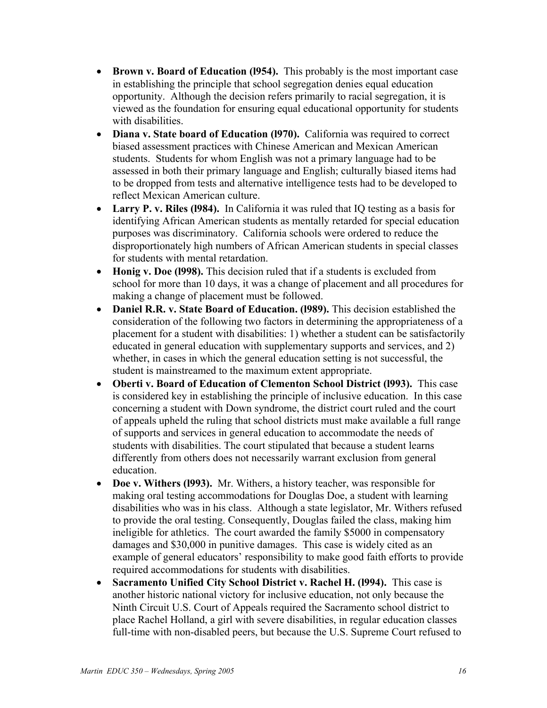- **Brown v. Board of Education (l954).** This probably is the most important case in establishing the principle that school segregation denies equal education opportunity. Although the decision refers primarily to racial segregation, it is viewed as the foundation for ensuring equal educational opportunity for students with disabilities.
- **Diana v. State board of Education (1970).** California was required to correct biased assessment practices with Chinese American and Mexican American students. Students for whom English was not a primary language had to be assessed in both their primary language and English; culturally biased items had to be dropped from tests and alternative intelligence tests had to be developed to reflect Mexican American culture.
- **Larry P. v. Riles (l984).** In California it was ruled that IQ testing as a basis for identifying African American students as mentally retarded for special education purposes was discriminatory. California schools were ordered to reduce the disproportionately high numbers of African American students in special classes for students with mental retardation.
- **Honig v. Doe (l998).** This decision ruled that if a students is excluded from school for more than 10 days, it was a change of placement and all procedures for making a change of placement must be followed.
- **Daniel R.R. v. State Board of Education. (l989).** This decision established the consideration of the following two factors in determining the appropriateness of a placement for a student with disabilities: 1) whether a student can be satisfactorily educated in general education with supplementary supports and services, and 2) whether, in cases in which the general education setting is not successful, the student is mainstreamed to the maximum extent appropriate.
- **Oberti v. Board of Education of Clementon School District (l993).** This case is considered key in establishing the principle of inclusive education. In this case concerning a student with Down syndrome, the district court ruled and the court of appeals upheld the ruling that school districts must make available a full range of supports and services in general education to accommodate the needs of students with disabilities. The court stipulated that because a student learns differently from others does not necessarily warrant exclusion from general education.
- **Doe v. Withers (l993).** Mr. Withers, a history teacher, was responsible for making oral testing accommodations for Douglas Doe, a student with learning disabilities who was in his class. Although a state legislator, Mr. Withers refused to provide the oral testing. Consequently, Douglas failed the class, making him ineligible for athletics. The court awarded the family \$5000 in compensatory damages and \$30,000 in punitive damages. This case is widely cited as an example of general educators' responsibility to make good faith efforts to provide required accommodations for students with disabilities.
- **Sacramento Unified City School District v. Rachel H. (l994).** This case is another historic national victory for inclusive education, not only because the Ninth Circuit U.S. Court of Appeals required the Sacramento school district to place Rachel Holland, a girl with severe disabilities, in regular education classes full-time with non-disabled peers, but because the U.S. Supreme Court refused to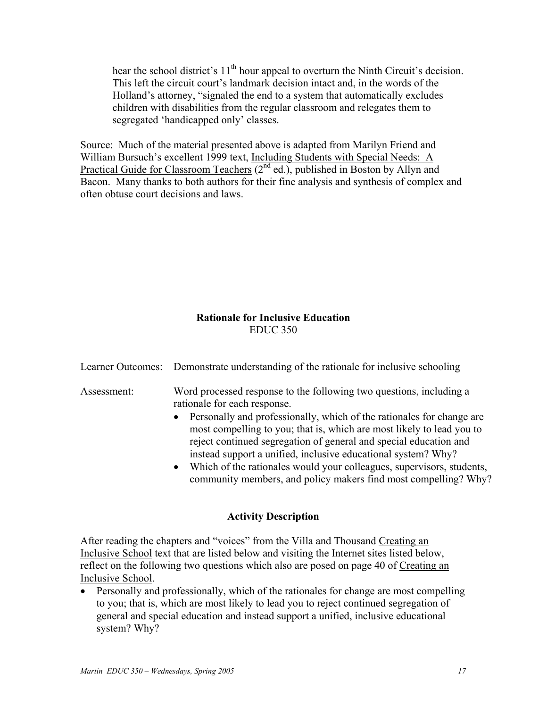hear the school district's 11<sup>th</sup> hour appeal to overturn the Ninth Circuit's decision. This left the circuit court's landmark decision intact and, in the words of the Holland's attorney, "signaled the end to a system that automatically excludes children with disabilities from the regular classroom and relegates them to segregated 'handicapped only' classes.

Source: Much of the material presented above is adapted from Marilyn Friend and William Bursuch's excellent 1999 text, Including Students with Special Needs: A Practical Guide for Classroom Teachers  $(2^{nd}$  ed.), published in Boston by Allyn and Bacon. Many thanks to both authors for their fine analysis and synthesis of complex and often obtuse court decisions and laws.

# **Rationale for Inclusive Education**  EDUC 350

Learner Outcomes: Demonstrate understanding of the rationale for inclusive schooling

Assessment: Word processed response to the following two questions, including a rationale for each response.

- Personally and professionally, which of the rationales for change are most compelling to you; that is, which are most likely to lead you to reject continued segregation of general and special education and instead support a unified, inclusive educational system? Why?
- Which of the rationales would your colleagues, supervisors, students, community members, and policy makers find most compelling? Why?

# **Activity Description**

After reading the chapters and "voices" from the Villa and Thousand Creating an Inclusive School text that are listed below and visiting the Internet sites listed below, reflect on the following two questions which also are posed on page 40 of Creating an Inclusive School.

• Personally and professionally, which of the rationales for change are most compelling to you; that is, which are most likely to lead you to reject continued segregation of general and special education and instead support a unified, inclusive educational system? Why?